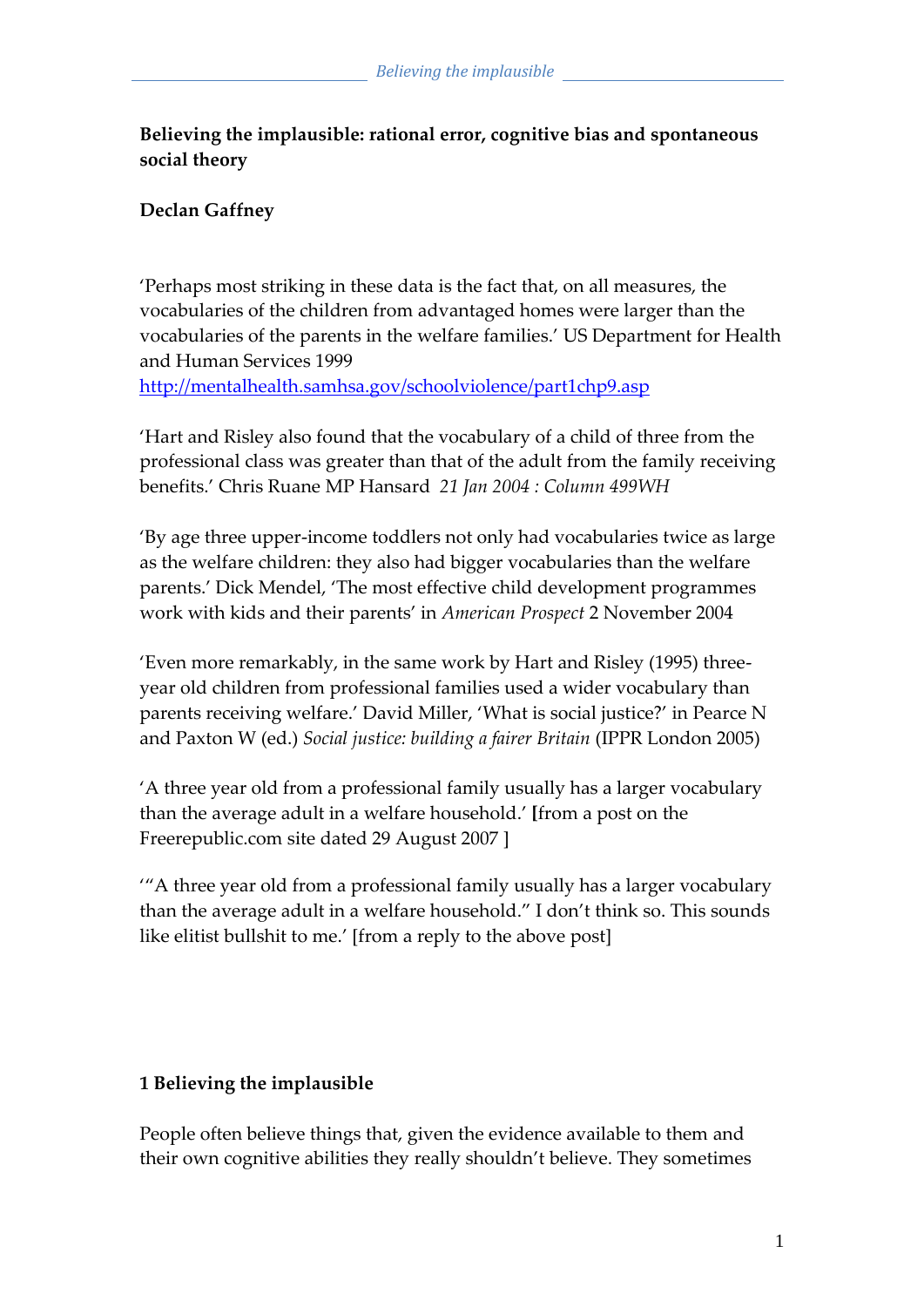# **Believing the implausible: rational error, cognitive bias and spontaneous social theory**

## **Declan Gaffney**

'Perhaps most striking in these data is the fact that, on all measures, the vocabularies of the children from advantaged homes were larger than the vocabularies of the parents in the welfare families.' US Department for Health and Human Services 1999 <http://mentalhealth.samhsa.gov/schoolviolence/part1chp9.asp>

'Hart and Risley also found that the vocabulary of a child of three from the professional class was greater than that of the adult from the family receiving benefits.' Chris Ruane MP Hansard *21 Jan 2004 : Column 499WH*

'By age three upper-income toddlers not only had vocabularies twice as large as the welfare children: they also had bigger vocabularies than the welfare parents.' Dick Mendel, 'The most effective child development programmes work with kids and their parents' in *American Prospect* 2 November 2004

'Even more remarkably, in the same work by Hart and Risley (1995) threeyear old children from professional families used a wider vocabulary than parents receiving welfare.' David Miller, 'What is social justice?' in Pearce N and Paxton W (ed.) *Social justice: building a fairer Britain* (IPPR London 2005)

'A three year old from a professional family usually has a larger vocabulary than the average adult in a welfare household.' **[**from a post on the Freerepublic.com site dated 29 August 2007 ]

''A three year old from a professional family usually has a larger vocabulary than the average adult in a welfare household.' I don't think so. This sounds like elitist bullshit to me.' [from a reply to the above post]

#### **1 Believing the implausible**

People often believe things that, given the evidence available to them and their own cognitive abilities they really shouldn't believe. They sometimes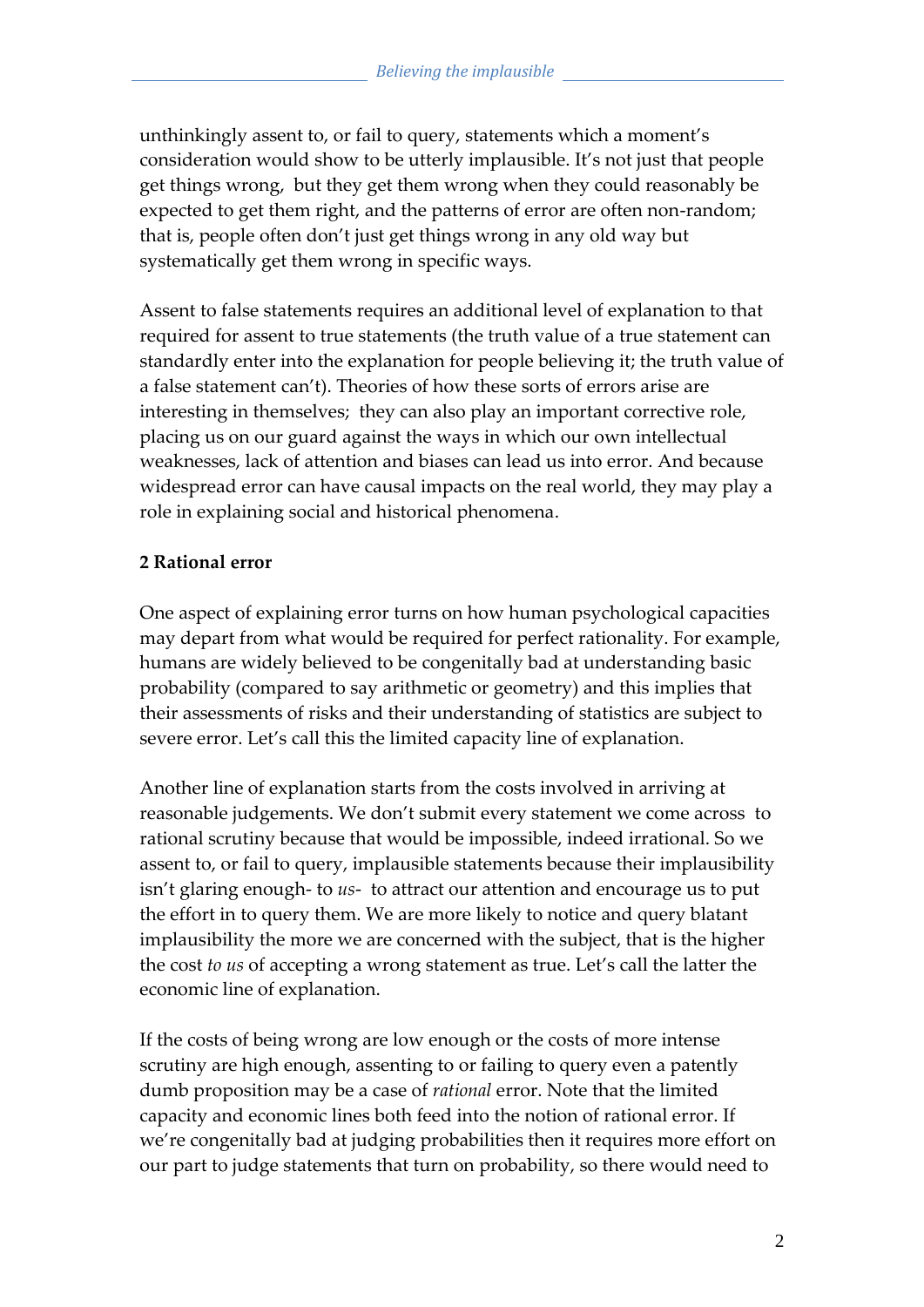unthinkingly assent to, or fail to query, statements which a moment's consideration would show to be utterly implausible. It's not just that people get things wrong, but they get them wrong when they could reasonably be expected to get them right, and the patterns of error are often non-random; that is, people often don't just get things wrong in any old way but systematically get them wrong in specific ways.

Assent to false statements requires an additional level of explanation to that required for assent to true statements (the truth value of a true statement can standardly enter into the explanation for people believing it; the truth value of a false statement can't). Theories of how these sorts of errors arise are interesting in themselves; they can also play an important corrective role, placing us on our guard against the ways in which our own intellectual weaknesses, lack of attention and biases can lead us into error. And because widespread error can have causal impacts on the real world, they may play a role in explaining social and historical phenomena.

## **2 Rational error**

One aspect of explaining error turns on how human psychological capacities may depart from what would be required for perfect rationality. For example, humans are widely believed to be congenitally bad at understanding basic probability (compared to say arithmetic or geometry) and this implies that their assessments of risks and their understanding of statistics are subject to severe error. Let's call this the limited capacity line of explanation.

Another line of explanation starts from the costs involved in arriving at reasonable judgements. We don't submit every statement we come across to rational scrutiny because that would be impossible, indeed irrational. So we assent to, or fail to query, implausible statements because their implausibility isn't glaring enough- to *us*- to attract our attention and encourage us to put the effort in to query them. We are more likely to notice and query blatant implausibility the more we are concerned with the subject, that is the higher the cost *to us* of accepting a wrong statement as true. Let's call the latter the economic line of explanation.

If the costs of being wrong are low enough or the costs of more intense scrutiny are high enough, assenting to or failing to query even a patently dumb proposition may be a case of *rational* error. Note that the limited capacity and economic lines both feed into the notion of rational error. If we're congenitally bad at judging probabilities then it requires more effort on our part to judge statements that turn on probability, so there would need to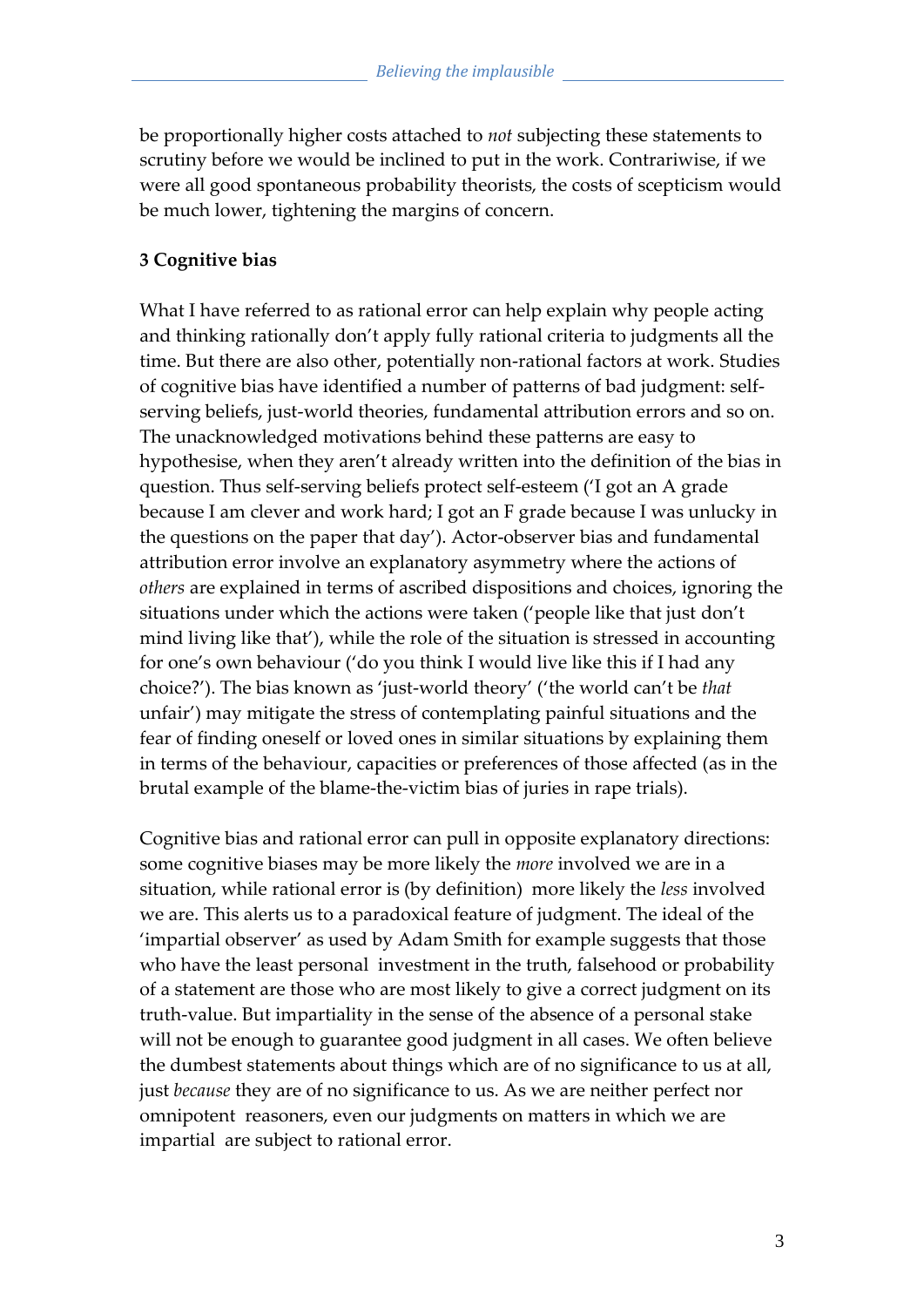be proportionally higher costs attached to *not* subjecting these statements to scrutiny before we would be inclined to put in the work. Contrariwise, if we were all good spontaneous probability theorists, the costs of scepticism would be much lower, tightening the margins of concern.

#### **3 Cognitive bias**

What I have referred to as rational error can help explain why people acting and thinking rationally don't apply fully rational criteria to judgments all the time. But there are also other, potentially non-rational factors at work. Studies of cognitive bias have identified a number of patterns of bad judgment: selfserving beliefs, just-world theories, fundamental attribution errors and so on. The unacknowledged motivations behind these patterns are easy to hypothesise, when they aren't already written into the definition of the bias in question. Thus self-serving beliefs protect self-esteem ('I got an A grade because I am clever and work hard; I got an F grade because I was unlucky in the questions on the paper that day'). Actor-observer bias and fundamental attribution error involve an explanatory asymmetry where the actions of *others* are explained in terms of ascribed dispositions and choices, ignoring the situations under which the actions were taken ('people like that just don't mind living like that'), while the role of the situation is stressed in accounting for one's own behaviour ('do you think I would live like this if I had any choice?'). The bias known as 'just-world theory' ('the world can't be *that* unfair') may mitigate the stress of contemplating painful situations and the fear of finding oneself or loved ones in similar situations by explaining them in terms of the behaviour, capacities or preferences of those affected (as in the brutal example of the blame-the-victim bias of juries in rape trials).

Cognitive bias and rational error can pull in opposite explanatory directions: some cognitive biases may be more likely the *more* involved we are in a situation, while rational error is (by definition) more likely the *less* involved we are. This alerts us to a paradoxical feature of judgment. The ideal of the 'impartial observer' as used by Adam Smith for example suggests that those who have the least personal investment in the truth, falsehood or probability of a statement are those who are most likely to give a correct judgment on its truth-value. But impartiality in the sense of the absence of a personal stake will not be enough to guarantee good judgment in all cases. We often believe the dumbest statements about things which are of no significance to us at all, just *because* they are of no significance to us. As we are neither perfect nor omnipotent reasoners, even our judgments on matters in which we are impartial are subject to rational error.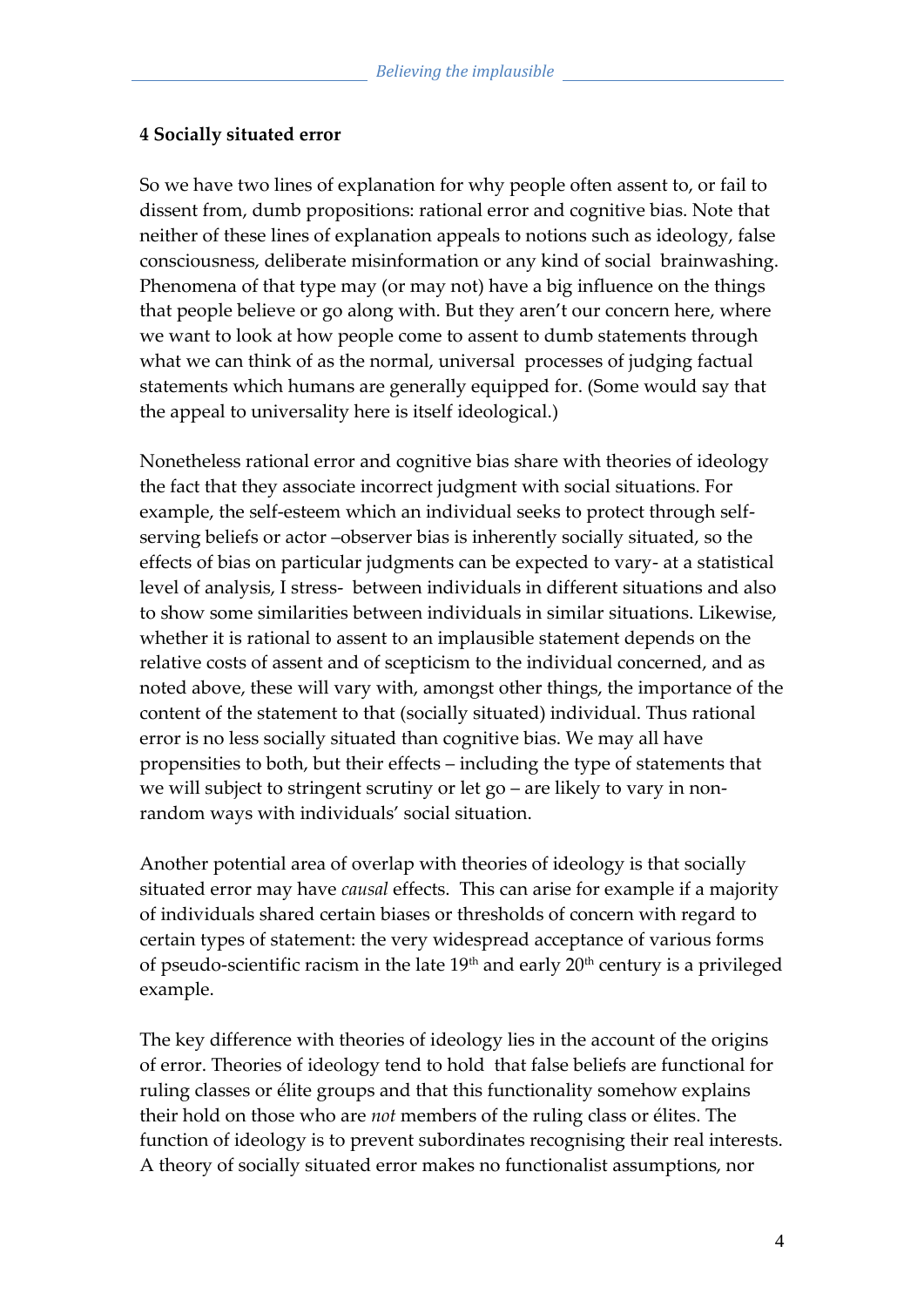#### **4 Socially situated error**

So we have two lines of explanation for why people often assent to, or fail to dissent from, dumb propositions: rational error and cognitive bias. Note that neither of these lines of explanation appeals to notions such as ideology, false consciousness, deliberate misinformation or any kind of social brainwashing. Phenomena of that type may (or may not) have a big influence on the things that people believe or go along with. But they aren't our concern here, where we want to look at how people come to assent to dumb statements through what we can think of as the normal, universal processes of judging factual statements which humans are generally equipped for. (Some would say that the appeal to universality here is itself ideological.)

Nonetheless rational error and cognitive bias share with theories of ideology the fact that they associate incorrect judgment with social situations. For example, the self-esteem which an individual seeks to protect through selfserving beliefs or actor –observer bias is inherently socially situated, so the effects of bias on particular judgments can be expected to vary- at a statistical level of analysis, I stress- between individuals in different situations and also to show some similarities between individuals in similar situations. Likewise, whether it is rational to assent to an implausible statement depends on the relative costs of assent and of scepticism to the individual concerned, and as noted above, these will vary with, amongst other things, the importance of the content of the statement to that (socially situated) individual. Thus rational error is no less socially situated than cognitive bias. We may all have propensities to both, but their effects – including the type of statements that we will subject to stringent scrutiny or let go – are likely to vary in nonrandom ways with individuals' social situation.

Another potential area of overlap with theories of ideology is that socially situated error may have *causal* effects. This can arise for example if a majority of individuals shared certain biases or thresholds of concern with regard to certain types of statement: the very widespread acceptance of various forms of pseudo-scientific racism in the late 19th and early 20th century is a privileged example.

The key difference with theories of ideology lies in the account of the origins of error. Theories of ideology tend to hold that false beliefs are functional for ruling classes or élite groups and that this functionality somehow explains their hold on those who are *not* members of the ruling class or élites. The function of ideology is to prevent subordinates recognising their real interests. A theory of socially situated error makes no functionalist assumptions, nor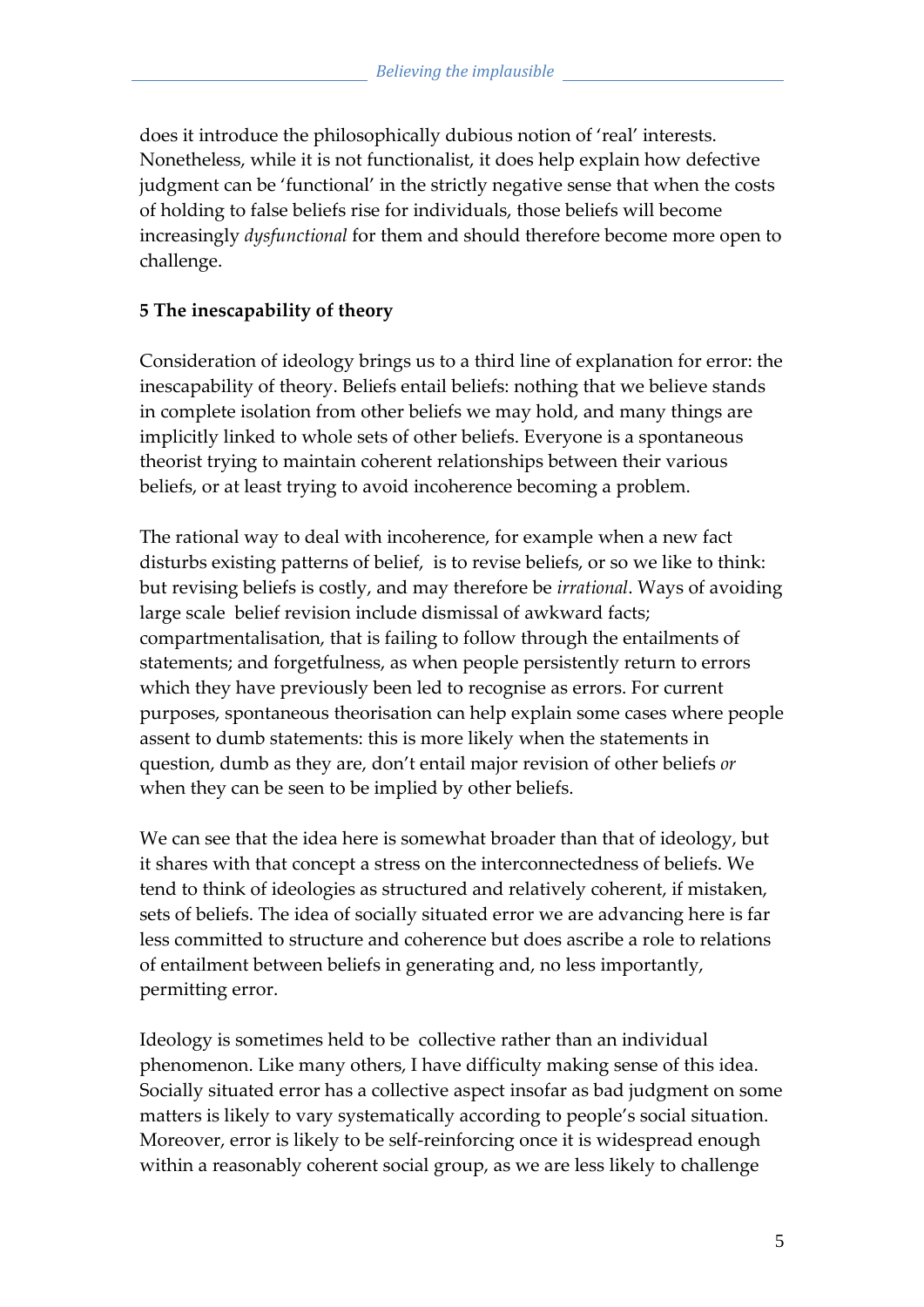does it introduce the philosophically dubious notion of 'real' interests. Nonetheless, while it is not functionalist, it does help explain how defective judgment can be 'functional' in the strictly negative sense that when the costs of holding to false beliefs rise for individuals, those beliefs will become increasingly *dysfunctional* for them and should therefore become more open to challenge.

#### **5 The inescapability of theory**

Consideration of ideology brings us to a third line of explanation for error: the inescapability of theory. Beliefs entail beliefs: nothing that we believe stands in complete isolation from other beliefs we may hold, and many things are implicitly linked to whole sets of other beliefs. Everyone is a spontaneous theorist trying to maintain coherent relationships between their various beliefs, or at least trying to avoid incoherence becoming a problem.

The rational way to deal with incoherence, for example when a new fact disturbs existing patterns of belief, is to revise beliefs, or so we like to think: but revising beliefs is costly, and may therefore be *irrational*. Ways of avoiding large scale belief revision include dismissal of awkward facts; compartmentalisation, that is failing to follow through the entailments of statements; and forgetfulness, as when people persistently return to errors which they have previously been led to recognise as errors. For current purposes, spontaneous theorisation can help explain some cases where people assent to dumb statements: this is more likely when the statements in question, dumb as they are, don't entail major revision of other beliefs *or* when they can be seen to be implied by other beliefs.

We can see that the idea here is somewhat broader than that of ideology, but it shares with that concept a stress on the interconnectedness of beliefs. We tend to think of ideologies as structured and relatively coherent, if mistaken, sets of beliefs. The idea of socially situated error we are advancing here is far less committed to structure and coherence but does ascribe a role to relations of entailment between beliefs in generating and, no less importantly, permitting error.

Ideology is sometimes held to be collective rather than an individual phenomenon. Like many others, I have difficulty making sense of this idea. Socially situated error has a collective aspect insofar as bad judgment on some matters is likely to vary systematically according to people's social situation. Moreover, error is likely to be self-reinforcing once it is widespread enough within a reasonably coherent social group, as we are less likely to challenge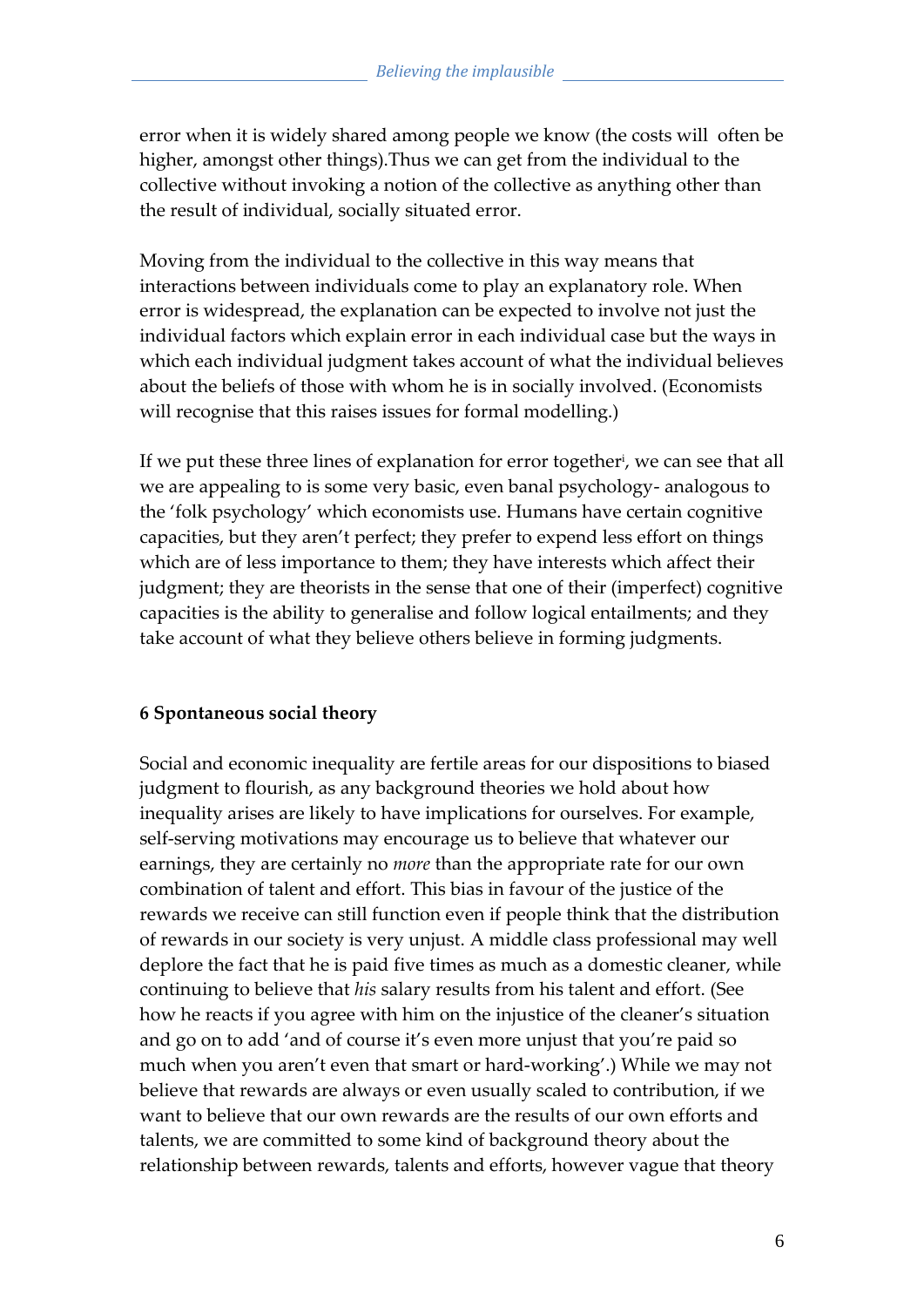error when it is widely shared among people we know (the costs will often be higher, amongst other things).Thus we can get from the individual to the collective without invoking a notion of the collective as anything other than the result of individual, socially situated error.

Moving from the individual to the collective in this way means that interactions between individuals come to play an explanatory role. When error is widespread, the explanation can be expected to involve not just the individual factors which explain error in each individual case but the ways in which each individual judgment takes account of what the individual believes about the beliefs of those with whom he is in socially involved. (Economists will recognise that this raises issues for formal modelling.)

If we put these three lines of explanation for error together<sup>i</sup>, we can see that all we are appealing to is some very basic, even banal psychology- analogous to the 'folk psychology' which economists use. Humans have certain cognitive capacities, but they aren't perfect; they prefer to expend less effort on things which are of less importance to them; they have interests which affect their judgment; they are theorists in the sense that one of their (imperfect) cognitive capacities is the ability to generalise and follow logical entailments; and they take account of what they believe others believe in forming judgments.

#### **6 Spontaneous social theory**

Social and economic inequality are fertile areas for our dispositions to biased judgment to flourish, as any background theories we hold about how inequality arises are likely to have implications for ourselves. For example, self-serving motivations may encourage us to believe that whatever our earnings, they are certainly no *more* than the appropriate rate for our own combination of talent and effort. This bias in favour of the justice of the rewards we receive can still function even if people think that the distribution of rewards in our society is very unjust. A middle class professional may well deplore the fact that he is paid five times as much as a domestic cleaner, while continuing to believe that *his* salary results from his talent and effort. (See how he reacts if you agree with him on the injustice of the cleaner's situation and go on to add 'and of course it's even more unjust that you're paid so much when you aren't even that smart or hard-working'.) While we may not believe that rewards are always or even usually scaled to contribution, if we want to believe that our own rewards are the results of our own efforts and talents, we are committed to some kind of background theory about the relationship between rewards, talents and efforts, however vague that theory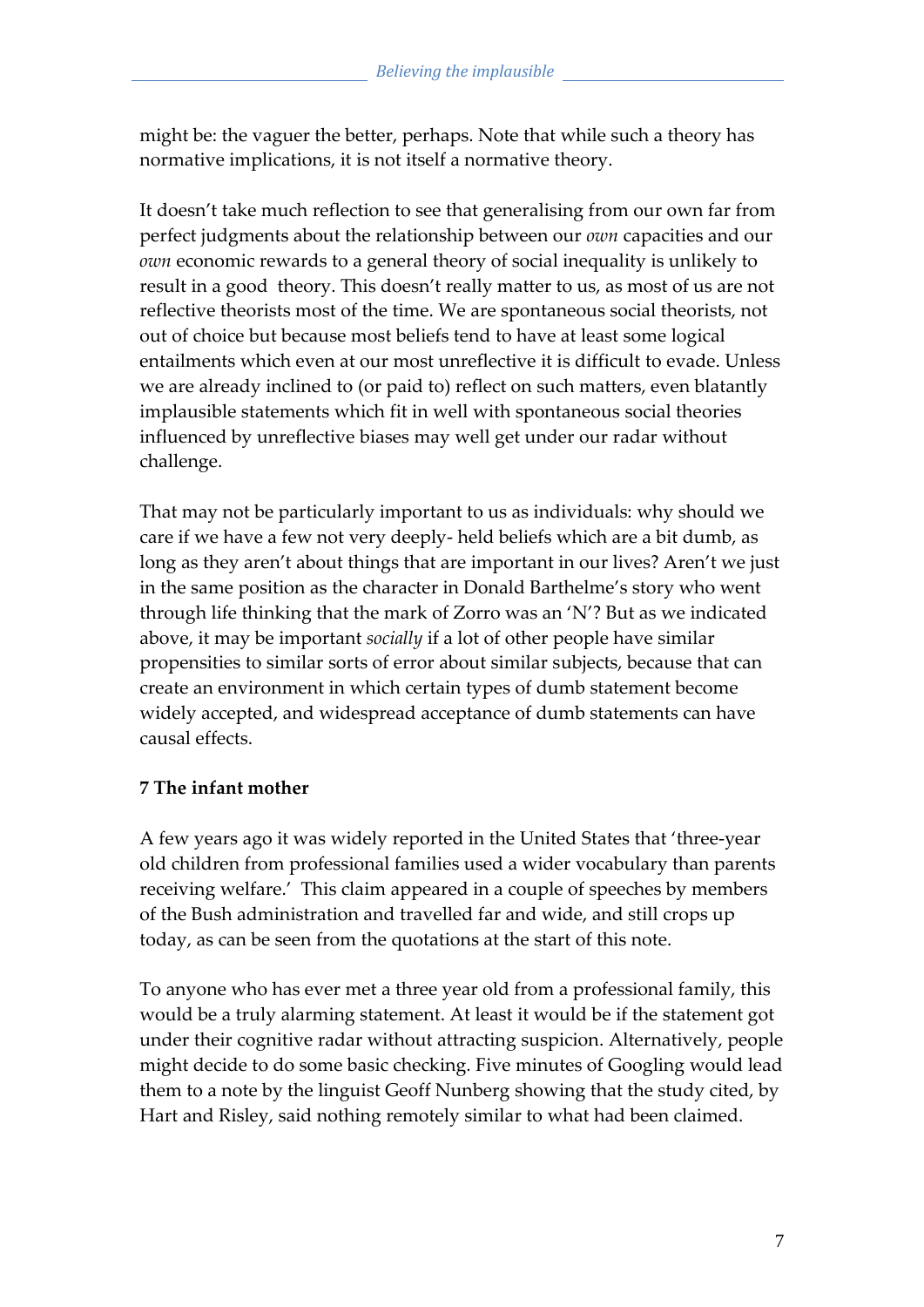might be: the vaguer the better, perhaps. Note that while such a theory has normative implications, it is not itself a normative theory.

It doesn't take much reflection to see that generalising from our own far from perfect judgments about the relationship between our *own* capacities and our *own* economic rewards to a general theory of social inequality is unlikely to result in a good theory. This doesn't really matter to us, as most of us are not reflective theorists most of the time. We are spontaneous social theorists, not out of choice but because most beliefs tend to have at least some logical entailments which even at our most unreflective it is difficult to evade. Unless we are already inclined to (or paid to) reflect on such matters, even blatantly implausible statements which fit in well with spontaneous social theories influenced by unreflective biases may well get under our radar without challenge.

That may not be particularly important to us as individuals: why should we care if we have a few not very deeply- held beliefs which are a bit dumb, as long as they aren't about things that are important in our lives? Aren't we just in the same position as the character in Donald Barthelme's story who went through life thinking that the mark of Zorro was an 'N'? But as we indicated above, it may be important *socially* if a lot of other people have similar propensities to similar sorts of error about similar subjects, because that can create an environment in which certain types of dumb statement become widely accepted, and widespread acceptance of dumb statements can have causal effects.

#### **7 The infant mother**

A few years ago it was widely reported in the United States that 'three-year old children from professional families used a wider vocabulary than parents receiving welfare.' This claim appeared in a couple of speeches by members of the Bush administration and travelled far and wide, and still crops up today, as can be seen from the quotations at the start of this note.

To anyone who has ever met a three year old from a professional family, this would be a truly alarming statement. At least it would be if the statement got under their cognitive radar without attracting suspicion. Alternatively, people might decide to do some basic checking. Five minutes of Googling would lead them to a note by the linguist Geoff Nunberg showing that the study cited, by Hart and Risley, said nothing remotely similar to what had been claimed.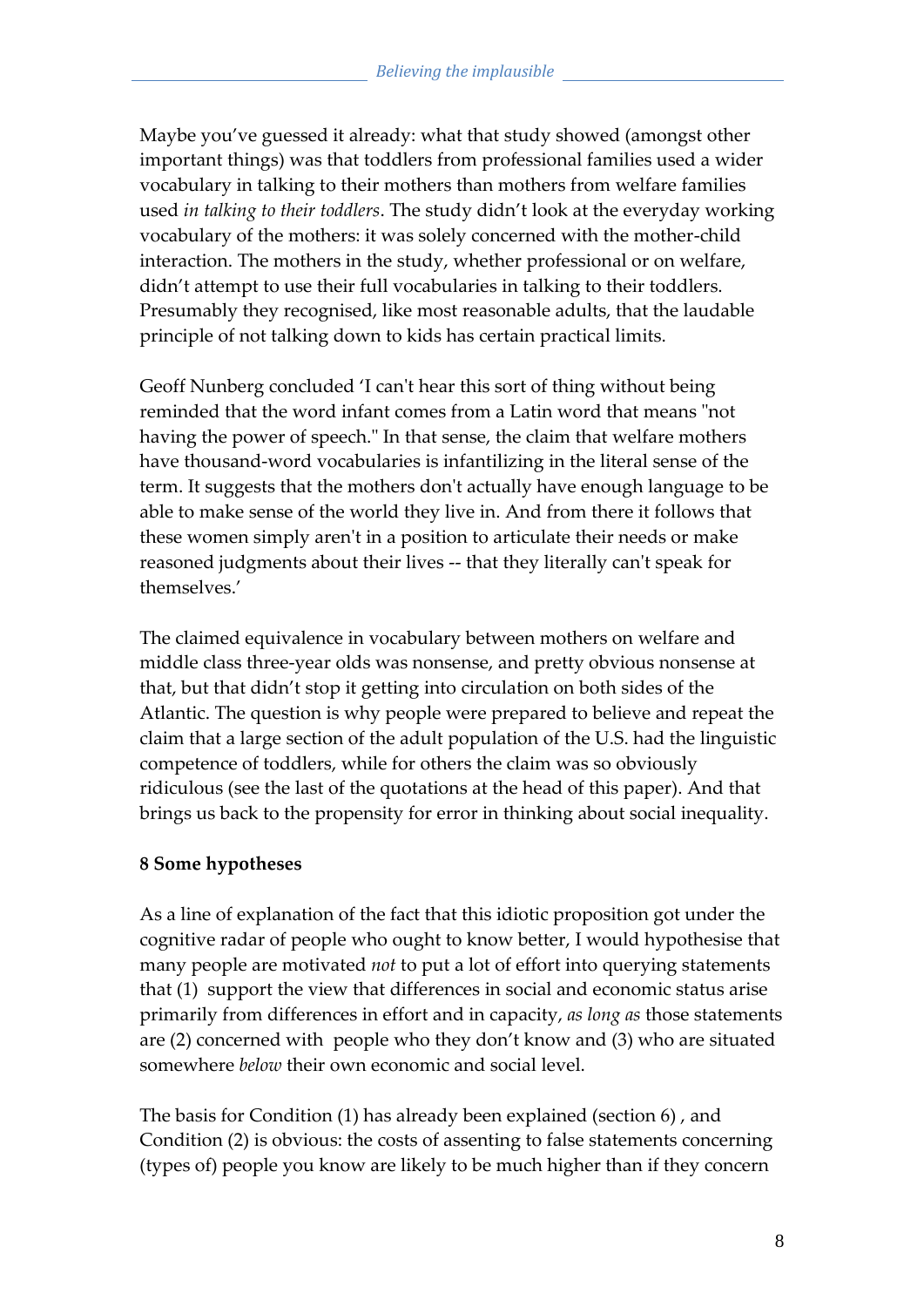Maybe you've guessed it already: what that study showed (amongst other important things) was that toddlers from professional families used a wider vocabulary in talking to their mothers than mothers from welfare families used *in talking to their toddlers*. The study didn't look at the everyday working vocabulary of the mothers: it was solely concerned with the mother-child interaction. The mothers in the study, whether professional or on welfare, didn't attempt to use their full vocabularies in talking to their toddlers. Presumably they recognised, like most reasonable adults, that the laudable principle of not talking down to kids has certain practical limits.

Geoff Nunberg concluded 'I can't hear this sort of thing without being reminded that the word infant comes from a Latin word that means "not having the power of speech." In that sense, the claim that welfare mothers have thousand-word vocabularies is infantilizing in the literal sense of the term. It suggests that the mothers don't actually have enough language to be able to make sense of the world they live in. And from there it follows that these women simply aren't in a position to articulate their needs or make reasoned judgments about their lives -- that they literally can't speak for themselves.'

The claimed equivalence in vocabulary between mothers on welfare and middle class three-year olds was nonsense, and pretty obvious nonsense at that, but that didn't stop it getting into circulation on both sides of the Atlantic. The question is why people were prepared to believe and repeat the claim that a large section of the adult population of the U.S. had the linguistic competence of toddlers, while for others the claim was so obviously ridiculous (see the last of the quotations at the head of this paper). And that brings us back to the propensity for error in thinking about social inequality.

#### **8 Some hypotheses**

As a line of explanation of the fact that this idiotic proposition got under the cognitive radar of people who ought to know better, I would hypothesise that many people are motivated *not* to put a lot of effort into querying statements that (1) support the view that differences in social and economic status arise primarily from differences in effort and in capacity, *as long as* those statements are (2) concerned with people who they don't know and (3) who are situated somewhere *below* their own economic and social level.

The basis for Condition (1) has already been explained (section 6) , and Condition (2) is obvious: the costs of assenting to false statements concerning (types of) people you know are likely to be much higher than if they concern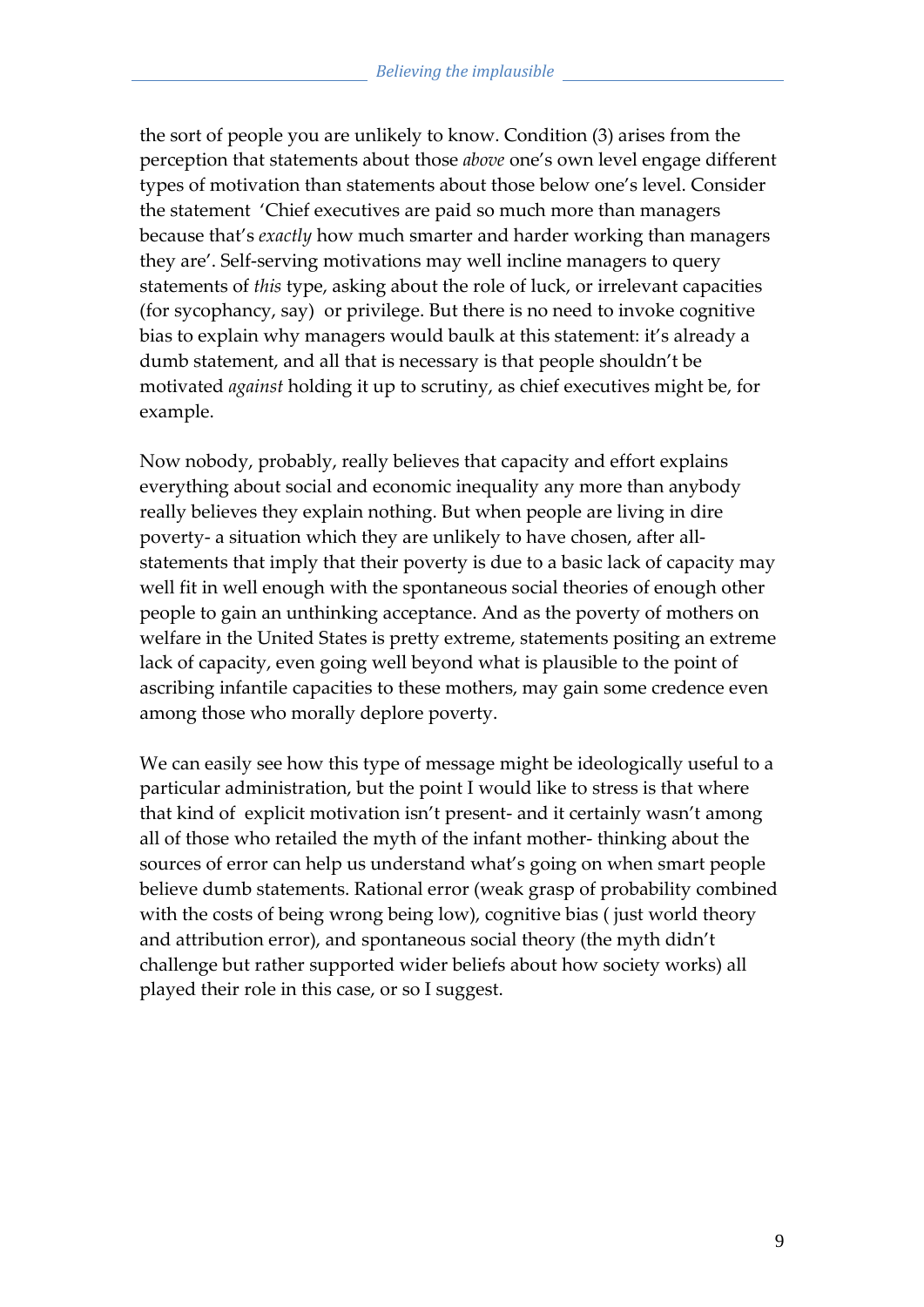the sort of people you are unlikely to know. Condition (3) arises from the perception that statements about those *above* one's own level engage different types of motivation than statements about those below one's level. Consider the statement 'Chief executives are paid so much more than managers because that's *exactly* how much smarter and harder working than managers they are'. Self-serving motivations may well incline managers to query statements of *this* type, asking about the role of luck, or irrelevant capacities (for sycophancy, say) or privilege. But there is no need to invoke cognitive bias to explain why managers would baulk at this statement: it's already a dumb statement, and all that is necessary is that people shouldn't be motivated *against* holding it up to scrutiny, as chief executives might be, for example.

Now nobody, probably, really believes that capacity and effort explains everything about social and economic inequality any more than anybody really believes they explain nothing. But when people are living in dire poverty- a situation which they are unlikely to have chosen, after allstatements that imply that their poverty is due to a basic lack of capacity may well fit in well enough with the spontaneous social theories of enough other people to gain an unthinking acceptance. And as the poverty of mothers on welfare in the United States is pretty extreme, statements positing an extreme lack of capacity, even going well beyond what is plausible to the point of ascribing infantile capacities to these mothers, may gain some credence even among those who morally deplore poverty.

We can easily see how this type of message might be ideologically useful to a particular administration, but the point I would like to stress is that where that kind of explicit motivation isn't present- and it certainly wasn't among all of those who retailed the myth of the infant mother- thinking about the sources of error can help us understand what's going on when smart people believe dumb statements. Rational error (weak grasp of probability combined with the costs of being wrong being low), cognitive bias ( just world theory and attribution error), and spontaneous social theory (the myth didn't challenge but rather supported wider beliefs about how society works) all played their role in this case, or so I suggest.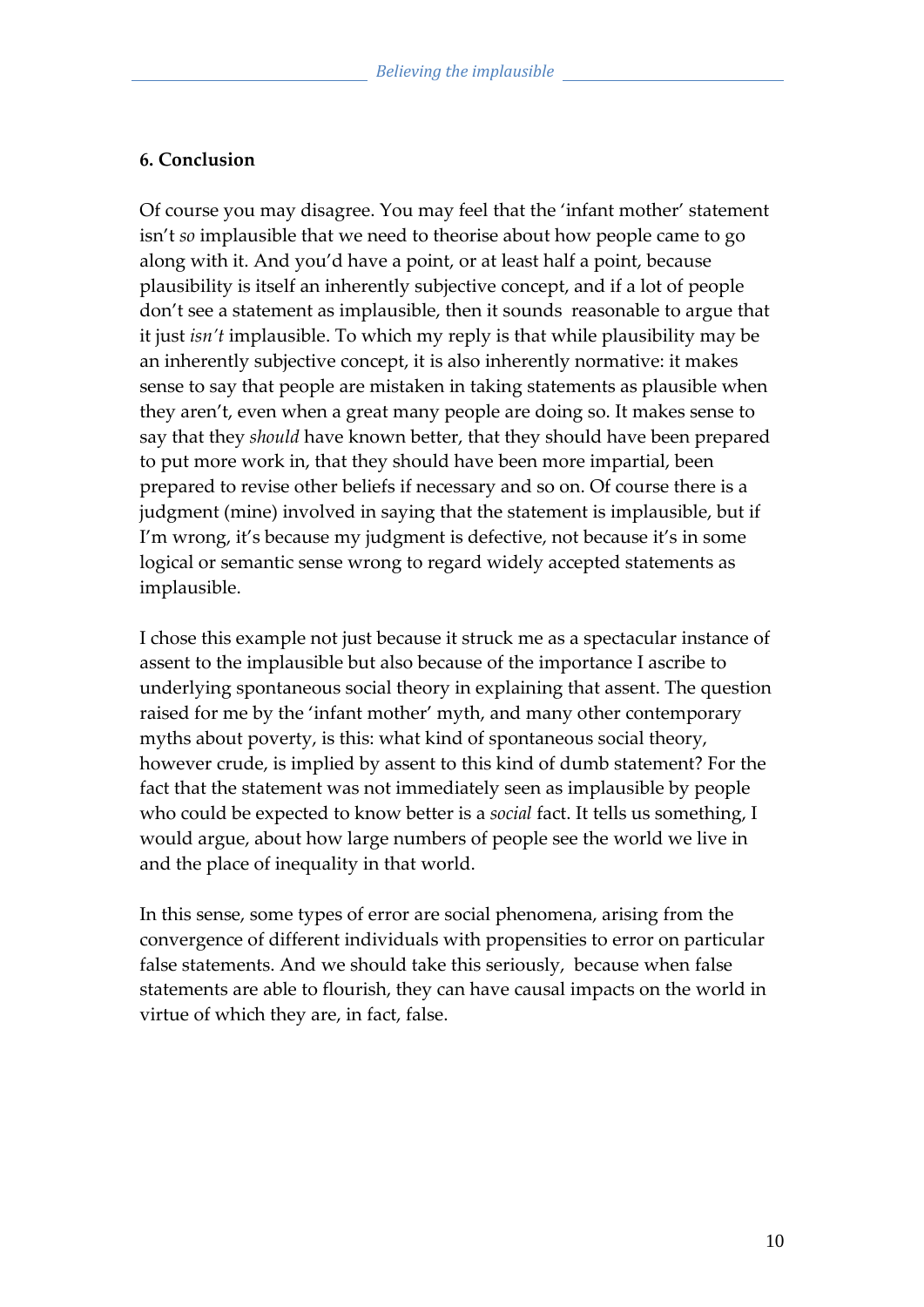#### **6. Conclusion**

Of course you may disagree. You may feel that the 'infant mother' statement isn't *so* implausible that we need to theorise about how people came to go along with it. And you'd have a point, or at least half a point, because plausibility is itself an inherently subjective concept, and if a lot of people don't see a statement as implausible, then it sounds reasonable to argue that it just *isn't* implausible. To which my reply is that while plausibility may be an inherently subjective concept, it is also inherently normative: it makes sense to say that people are mistaken in taking statements as plausible when they aren't, even when a great many people are doing so. It makes sense to say that they *should* have known better, that they should have been prepared to put more work in, that they should have been more impartial, been prepared to revise other beliefs if necessary and so on. Of course there is a judgment (mine) involved in saying that the statement is implausible, but if I'm wrong, it's because my judgment is defective, not because it's in some logical or semantic sense wrong to regard widely accepted statements as implausible.

I chose this example not just because it struck me as a spectacular instance of assent to the implausible but also because of the importance I ascribe to underlying spontaneous social theory in explaining that assent. The question raised for me by the 'infant mother' myth, and many other contemporary myths about poverty, is this: what kind of spontaneous social theory, however crude, is implied by assent to this kind of dumb statement? For the fact that the statement was not immediately seen as implausible by people who could be expected to know better is a *social* fact. It tells us something, I would argue, about how large numbers of people see the world we live in and the place of inequality in that world.

In this sense, some types of error are social phenomena, arising from the convergence of different individuals with propensities to error on particular false statements. And we should take this seriously, because when false statements are able to flourish, they can have causal impacts on the world in virtue of which they are, in fact, false.